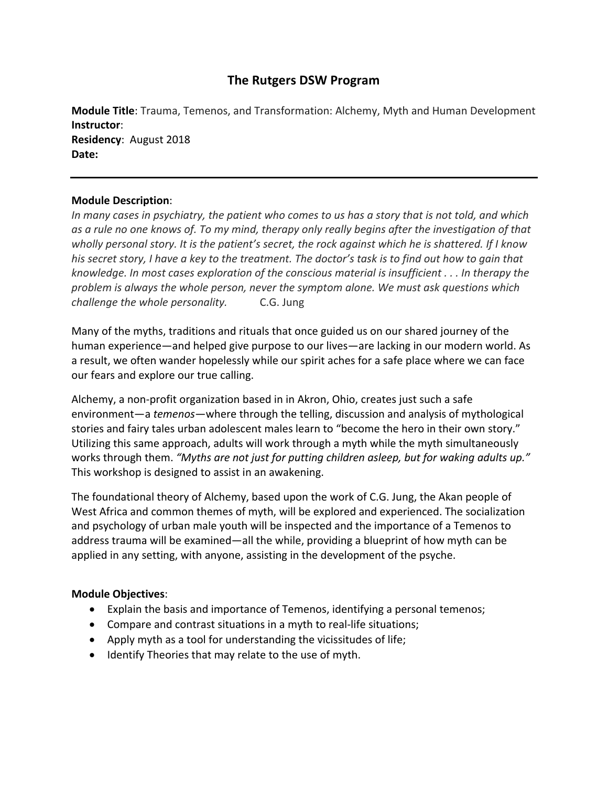# **The Rutgers DSW Program**

**Module Title**: Trauma, Temenos, and Transformation: Alchemy, Myth and Human Development **Instructor**: **Residency**: August 2018 **Date:**

#### **Module Description**:

In many cases in psychiatry, the patient who comes to us has a story that is not told, and which as a rule no one knows of. To my mind, therapy only really begins after the investigation of that wholly personal story. It is the patient's secret, the rock against which he is shattered. If I know his secret story, I have a key to the treatment. The doctor's task is to find out how to gain that *knowledge. In most cases exploration of the conscious material is insufficient . . . In therapy the problem is always the whole person, never the symptom alone. We must ask questions which challenge the whole personality.* C.G. Jung

Many of the myths, traditions and rituals that once guided us on our shared journey of the human experience—and helped give purpose to our lives—are lacking in our modern world. As a result, we often wander hopelessly while our spirit aches for a safe place where we can face our fears and explore our true calling.

Alchemy, a non‐profit organization based in in Akron, Ohio, creates just such a safe environment—a *temenos*—where through the telling, discussion and analysis of mythological stories and fairy tales urban adolescent males learn to "become the hero in their own story." Utilizing this same approach, adults will work through a myth while the myth simultaneously works through them. *"Myths are not just for putting children asleep, but for waking adults up."* This workshop is designed to assist in an awakening.

The foundational theory of Alchemy, based upon the work of C.G. Jung, the Akan people of West Africa and common themes of myth, will be explored and experienced. The socialization and psychology of urban male youth will be inspected and the importance of a Temenos to address trauma will be examined—all the while, providing a blueprint of how myth can be applied in any setting, with anyone, assisting in the development of the psyche.

#### **Module Objectives**:

- Explain the basis and importance of Temenos, identifying a personal temenos;
- Compare and contrast situations in a myth to real‐life situations;
- Apply myth as a tool for understanding the vicissitudes of life;
- Identify Theories that may relate to the use of myth.